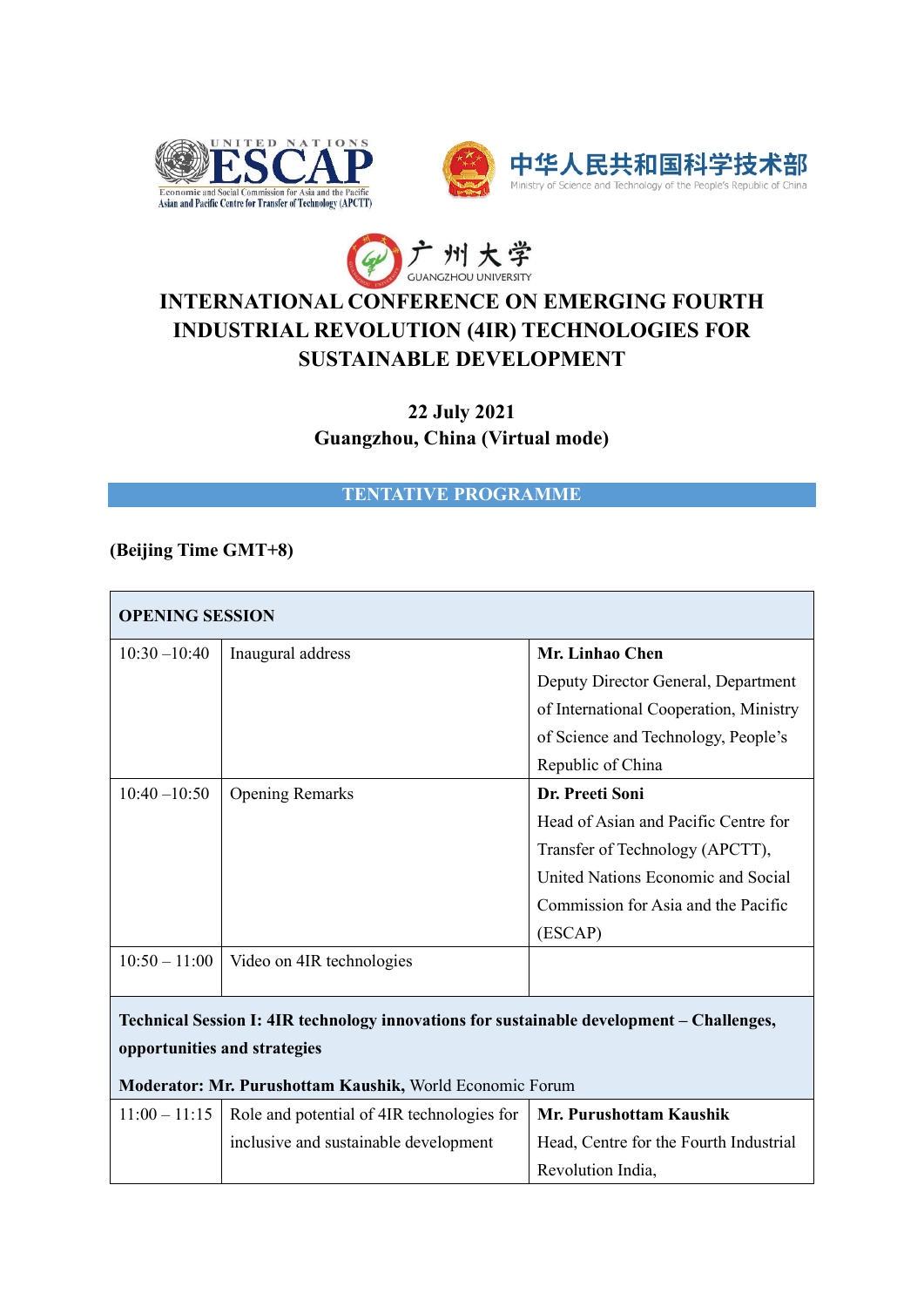





## **INTERNATIONAL CONFERENCE ON EMERGING FOURTH INDUSTRIAL REVOLUTION (4IR) TECHNOLOGIES FOR SUSTAINABLE DEVELOPMENT**

**22 July 2021 Guangzhou, China (Virtual mode)**

**TENTATIVE PROGRAMME**

## **(Beijing Time GMT+8)**

| <b>OPENING SESSION</b>                                                                    |                                            |                                        |  |  |
|-------------------------------------------------------------------------------------------|--------------------------------------------|----------------------------------------|--|--|
| $10:30 - 10:40$                                                                           | Inaugural address                          | Mr. Linhao Chen                        |  |  |
|                                                                                           |                                            | Deputy Director General, Department    |  |  |
|                                                                                           |                                            | of International Cooperation, Ministry |  |  |
|                                                                                           |                                            | of Science and Technology, People's    |  |  |
|                                                                                           |                                            | Republic of China                      |  |  |
| $10:40 - 10:50$                                                                           | <b>Opening Remarks</b>                     | Dr. Preeti Soni                        |  |  |
|                                                                                           |                                            | Head of Asian and Pacific Centre for   |  |  |
|                                                                                           |                                            | Transfer of Technology (APCTT),        |  |  |
|                                                                                           |                                            | United Nations Economic and Social     |  |  |
|                                                                                           |                                            | Commission for Asia and the Pacific    |  |  |
|                                                                                           |                                            | (ESCAP)                                |  |  |
| $10:50 - 11:00$                                                                           | Video on 4IR technologies                  |                                        |  |  |
|                                                                                           |                                            |                                        |  |  |
| Technical Session I: 4IR technology innovations for sustainable development – Challenges, |                                            |                                        |  |  |
| opportunities and strategies                                                              |                                            |                                        |  |  |
| Moderator: Mr. Purushottam Kaushik, World Economic Forum                                  |                                            |                                        |  |  |
| $11:00 - 11:15$                                                                           | Role and potential of 4IR technologies for | Mr. Purushottam Kaushik                |  |  |
|                                                                                           | inclusive and sustainable development      | Head, Centre for the Fourth Industrial |  |  |

Revolution India,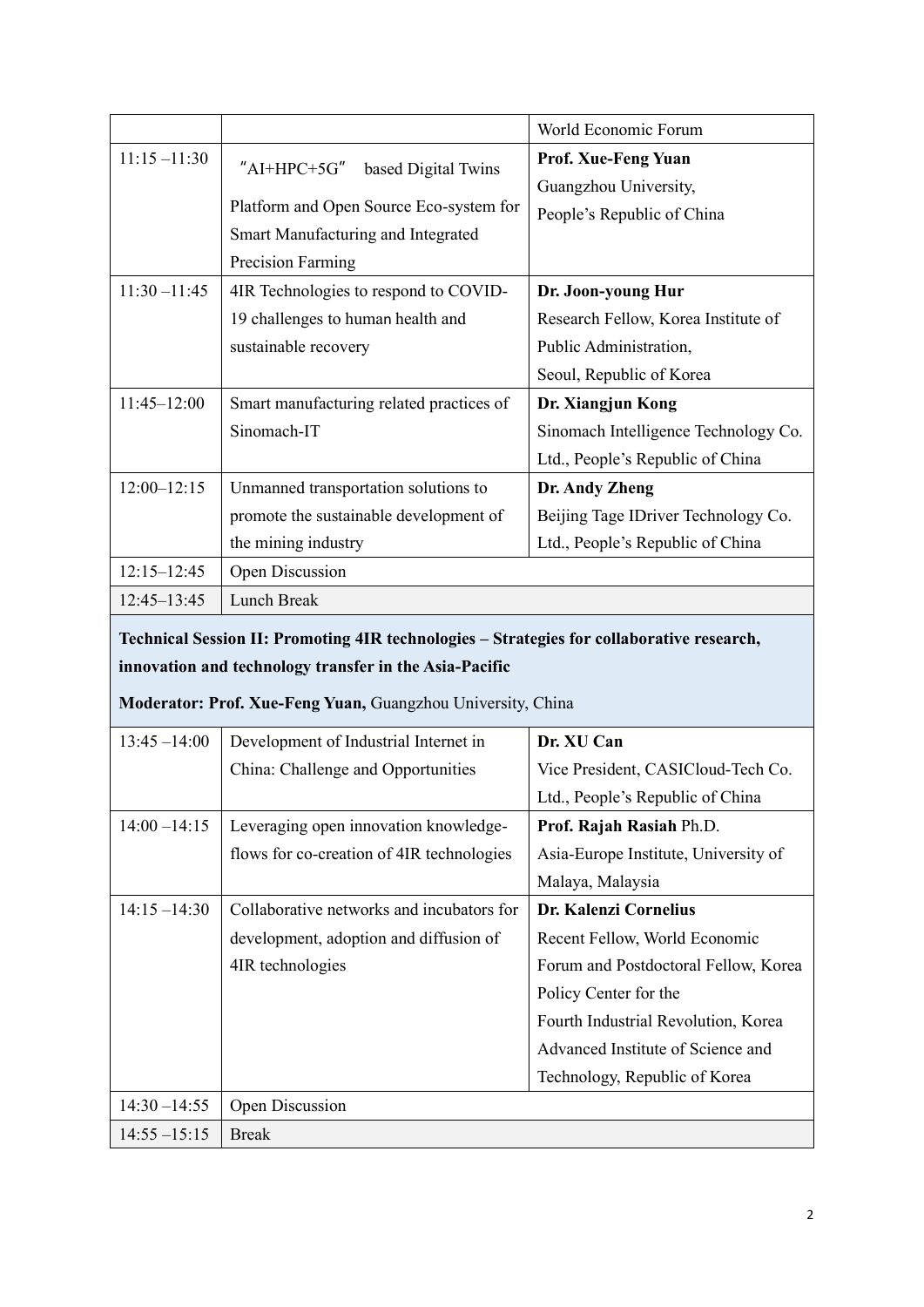|                 |                                          | World Economic Forum                 |
|-----------------|------------------------------------------|--------------------------------------|
| $11:15 - 11:30$ | $"$ AI+HPC+5G"<br>based Digital Twins    | <b>Prof. Xue-Feng Yuan</b>           |
|                 |                                          | Guangzhou University,                |
|                 | Platform and Open Source Eco-system for  | People's Republic of China           |
|                 | Smart Manufacturing and Integrated       |                                      |
|                 | Precision Farming                        |                                      |
| $11:30 - 11:45$ | 4IR Technologies to respond to COVID-    | Dr. Joon-young Hur                   |
|                 | 19 challenges to human health and        | Research Fellow, Korea Institute of  |
|                 | sustainable recovery                     | Public Administration,               |
|                 |                                          | Seoul, Republic of Korea             |
| $11:45 - 12:00$ | Smart manufacturing related practices of | Dr. Xiangjun Kong                    |
|                 | Sinomach-IT                              | Sinomach Intelligence Technology Co. |
|                 |                                          | Ltd., People's Republic of China     |
| $12:00 - 12:15$ | Unmanned transportation solutions to     | Dr. Andy Zheng                       |
|                 | promote the sustainable development of   | Beijing Tage IDriver Technology Co.  |
|                 | the mining industry                      | Ltd., People's Republic of China     |
| $12:15 - 12:45$ | Open Discussion                          |                                      |
| $12:45 - 13:45$ | Lunch Break                              |                                      |

**Technical Session II: Promoting 4IR technologies – Strategies for collaborative research, innovation and technology transfer in the Asia-Pacific**

**Moderator: Prof. Xue-Feng Yuan,** Guangzhou University, China

| $13:45 - 14:00$ | Development of Industrial Internet in     | Dr. XU Can                           |
|-----------------|-------------------------------------------|--------------------------------------|
|                 | China: Challenge and Opportunities        | Vice President, CASICloud-Tech Co.   |
|                 |                                           | Ltd., People's Republic of China     |
| $14:00 - 14:15$ | Leveraging open innovation knowledge-     | Prof. Rajah Rasiah Ph.D.             |
|                 | flows for co-creation of 4IR technologies | Asia-Europe Institute, University of |
|                 |                                           | Malaya, Malaysia                     |
| $14:15 - 14:30$ | Collaborative networks and incubators for | Dr. Kalenzi Cornelius                |
|                 | development, adoption and diffusion of    | Recent Fellow, World Economic        |
|                 | 4IR technologies                          | Forum and Postdoctoral Fellow, Korea |
|                 |                                           | Policy Center for the                |
|                 |                                           | Fourth Industrial Revolution, Korea  |
|                 |                                           | Advanced Institute of Science and    |
|                 |                                           | Technology, Republic of Korea        |
| $14:30 - 14:55$ | Open Discussion                           |                                      |
| $14:55 - 15:15$ | <b>Break</b>                              |                                      |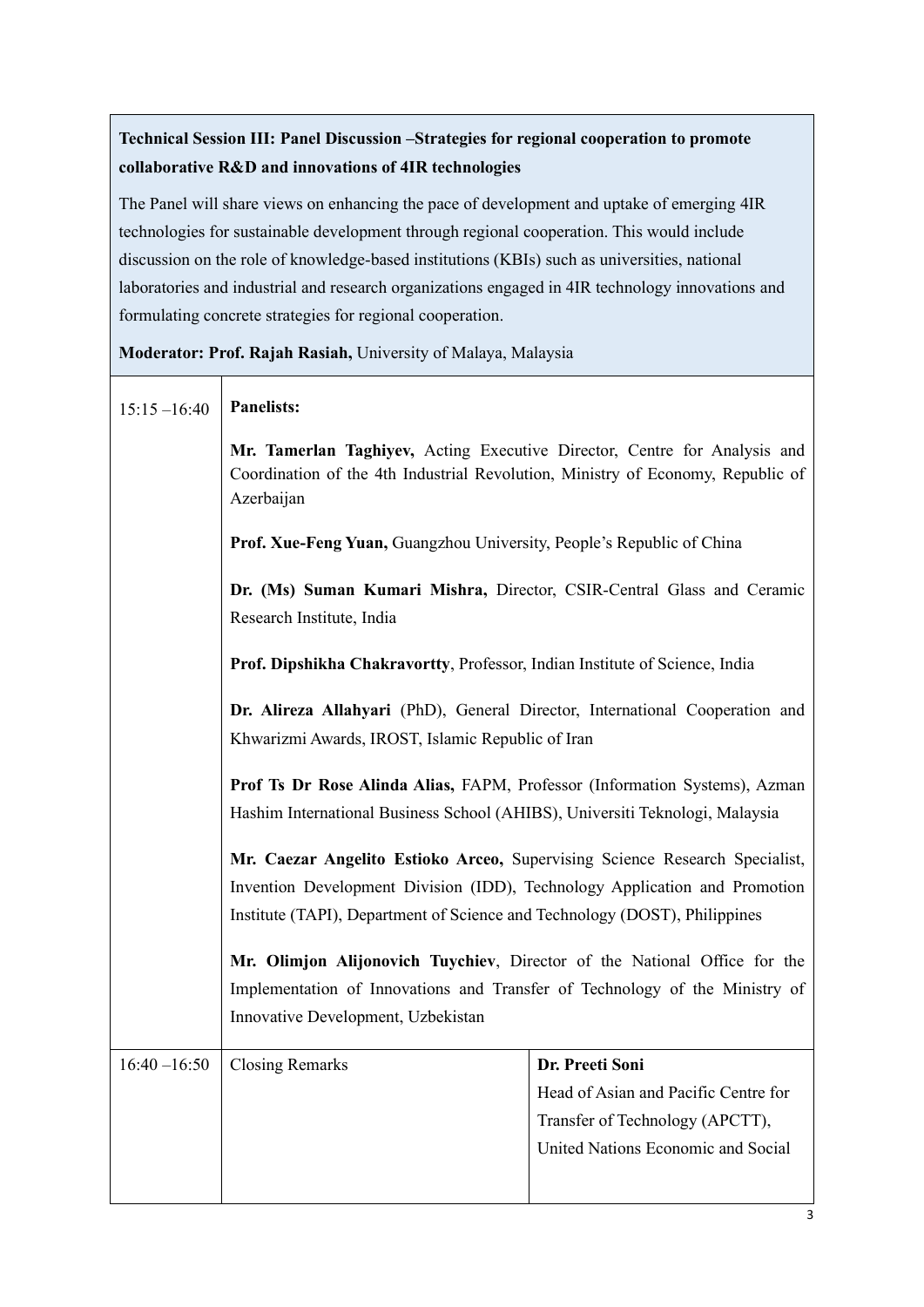## **Technical Session III: Panel Discussion –Strategies for regional cooperation to promote collaborative R&D and innovations of 4IR technologies**

The Panel will share views on enhancing the pace of development and uptake of emerging 4IR technologies for sustainable development through regional cooperation. This would include discussion on the role of knowledge-based institutions (KBIs) such as universities, national laboratories and industrial and research organizations engaged in 4IR technology innovations and formulating concrete strategies for regional cooperation.

**Moderator: Prof. Rajah Rasiah,** University of Malaya, Malaysia

| $15:15 - 16:40$ | <b>Panelists:</b>                                                                                                                                                                                                                                                                                                                                                                                                                                                                                                                                                                                       |                                      |  |
|-----------------|---------------------------------------------------------------------------------------------------------------------------------------------------------------------------------------------------------------------------------------------------------------------------------------------------------------------------------------------------------------------------------------------------------------------------------------------------------------------------------------------------------------------------------------------------------------------------------------------------------|--------------------------------------|--|
|                 | Mr. Tamerlan Taghiyev, Acting Executive Director, Centre for Analysis and<br>Coordination of the 4th Industrial Revolution, Ministry of Economy, Republic of<br>Azerbaijan                                                                                                                                                                                                                                                                                                                                                                                                                              |                                      |  |
|                 | Prof. Xue-Feng Yuan, Guangzhou University, People's Republic of China<br>Dr. (Ms) Suman Kumari Mishra, Director, CSIR-Central Glass and Ceramic<br>Research Institute, India<br>Prof. Dipshikha Chakravortty, Professor, Indian Institute of Science, India                                                                                                                                                                                                                                                                                                                                             |                                      |  |
|                 |                                                                                                                                                                                                                                                                                                                                                                                                                                                                                                                                                                                                         |                                      |  |
|                 |                                                                                                                                                                                                                                                                                                                                                                                                                                                                                                                                                                                                         |                                      |  |
|                 | Dr. Alireza Allahyari (PhD), General Director, International Cooperation and<br>Khwarizmi Awards, IROST, Islamic Republic of Iran                                                                                                                                                                                                                                                                                                                                                                                                                                                                       |                                      |  |
|                 | Prof Ts Dr Rose Alinda Alias, FAPM, Professor (Information Systems), Azman<br>Hashim International Business School (AHIBS), Universiti Teknologi, Malaysia<br>Mr. Caezar Angelito Estioko Arceo, Supervising Science Research Specialist,<br>Invention Development Division (IDD), Technology Application and Promotion<br>Institute (TAPI), Department of Science and Technology (DOST), Philippines<br>Mr. Olimjon Alijonovich Tuychiev, Director of the National Office for the<br>Implementation of Innovations and Transfer of Technology of the Ministry of<br>Innovative Development, Uzbekistan |                                      |  |
|                 |                                                                                                                                                                                                                                                                                                                                                                                                                                                                                                                                                                                                         |                                      |  |
|                 |                                                                                                                                                                                                                                                                                                                                                                                                                                                                                                                                                                                                         |                                      |  |
|                 |                                                                                                                                                                                                                                                                                                                                                                                                                                                                                                                                                                                                         |                                      |  |
|                 |                                                                                                                                                                                                                                                                                                                                                                                                                                                                                                                                                                                                         |                                      |  |
|                 |                                                                                                                                                                                                                                                                                                                                                                                                                                                                                                                                                                                                         |                                      |  |
|                 |                                                                                                                                                                                                                                                                                                                                                                                                                                                                                                                                                                                                         |                                      |  |
| $16:40 - 16:50$ | <b>Closing Remarks</b>                                                                                                                                                                                                                                                                                                                                                                                                                                                                                                                                                                                  | Dr. Preeti Soni                      |  |
|                 |                                                                                                                                                                                                                                                                                                                                                                                                                                                                                                                                                                                                         | Head of Asian and Pacific Centre for |  |
|                 |                                                                                                                                                                                                                                                                                                                                                                                                                                                                                                                                                                                                         | Transfer of Technology (APCTT),      |  |
|                 |                                                                                                                                                                                                                                                                                                                                                                                                                                                                                                                                                                                                         | United Nations Economic and Social   |  |
|                 |                                                                                                                                                                                                                                                                                                                                                                                                                                                                                                                                                                                                         |                                      |  |